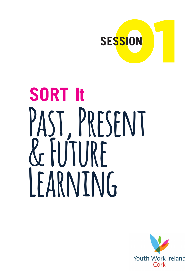

# **SORT It** PAST, PRESENT **& Future Learning**

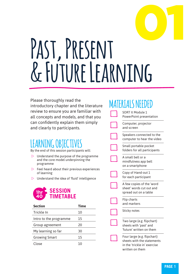# 01 PAST, PRESENT **& Future Learning**

Please thoroughly read the introductory chapter and the literature review to ensure you are familiar with all concepts and models, and that you can confidently explain them simply and clearly to participants.

## LEARNING UBJEC

By the end of this session participants will:

- $\triangleright$  Understand the purpose of the programme and the core model underpinning the programme
- $\triangleright$  Feel heard about their previous experiences of learning
- $\triangleright$  Understand the idea of 'fluid' intelligence



| <b>Section</b>         | <b>Time</b> |
|------------------------|-------------|
| Trickle In             | 10          |
| Intro to the programme | 15          |
| Group agreement        | 20          |
| My learning so far     | 30          |
| <b>Growing Smart</b>   | 15          |
| Close                  | 10          |

## **MATERIALS NEEDED**

| SORT It Module 1<br>PowerPoint presentation                                               |
|-------------------------------------------------------------------------------------------|
| Computer, projector<br>and screen                                                         |
| Speakers connected to the<br>computer to hear the video                                   |
| Small portable pocket<br>folders for all participants                                     |
| A small bell or a<br>mindfulness app bell<br>on a smartphone                              |
| Copy of Hand-out 1<br>for each participant                                                |
| A few copies of the 'word<br>sheet' words cut out and<br>spread out on a table            |
| <b>Flip charts</b><br>and markers                                                         |
| Sticky notes                                                                              |
| Two large (e.g. flipchart)<br>sheets with 'past' and<br>'future' written on them          |
| Four large (e.g. flipchart)<br>sheets with the statements<br>in the 'trickle in' exercise |

written on them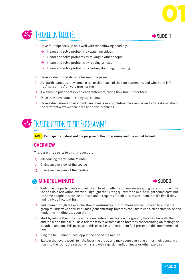



- $\rightarrow$  I learn and solve problems by watching videos
- $\rightarrow$  I learn and solve problems by talking to other people
- $\rightarrow$  I learn and solve problems by reading articles
- $\rightarrow$  I learn and solve problems by writing, doodling or drawing
- $\triangleright$  Have a selection of sticky notes near the pages
- $\triangleright$  Ask participants, as they come in to consider each of the four statements and whether it is 'not true' 'sort of true' or 'very true' for them
- $\triangleright$  Ask them to put one sticky on each statement, rating how true it is for them.
- $\triangleright$  Once they have done this they can sit down
- $\triangleright$  Have a discussion as participants are coming in, completing the exercise and sitting down, about the different ways we can learn and solve problems.

### **15 MIN Introduction to the Programme**

**AIM Participants understand the purpose of the programme and the model behind it.**

#### **OVERVIEW**

There are three parts to this introduction:

- **a)** Introducing the 'Mindful Minute'
- **b)** Giving an overview of the course
- **c)** Giving an overview of the models

#### **A MINDFUL MINUTE Extending the SLIDE 2**



01

- $\triangleright$  Welcome the participants and ask them to sit quietly. Tell them we are going to rest for one minute and do a relaxation exercise. Highlight that sitting quietly for a minute might sound easy, but for some people this can be difficult, and it requires practice. Reassure them that it's fine if they find it a bit difficult at first.
- $\triangleright$  Talk them through the exercise slowly, ensuring your instructions are well spaced to allow the group to undertake each small task (concentrating, breathes etc.), try to use a clear clam voice and model the mindfulness yourself.
- Start by asking them to concentrate on feeling their feet on the ground, the chair beneath them and the air on their skin… next ask them to take some deep breathes concentrating on feeling the breath in and out. This purpose of this exercise is to help them feel present in this room here and now.
- $\triangleright$  Ring the bell / mindfulness app at the end of the minute
- $\triangleright$  Explain that every week, to help focus the group and make sure everyone brings their concentration into the room, the session will start with a quick mindful minute or other exercise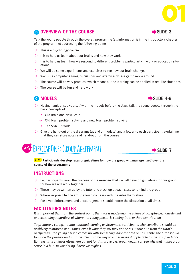#### **B OVERVIEW OF THE COURSE <b>EXAMPLEM EXAMPLEM** SLIDE 3

Talk the young people through the overall programme (all information is in the introductory chapter of the programme) addressing the following points:

- $\triangleright$  This is a psychology course
- $\triangleright$  It is to help us learn about our brains and how they work
- $\triangleright$  It is to help us learn how we respond to different problems, particularly in work or education situations
- $\triangleright$  We will do some experiments and exercises to see how our brain changes
- $\triangleright$  We'll use computer games, discussions and exercises where get to move around
- $\triangleright$  The course will be very practical which means all the learning can be applied in real life situations
- $\triangleright$  The course will be fun and hard work

- $\triangleright$  Having familiarised yourself with the models before the class, talk the young people through the basic concepts of:
	- $\rightarrow$  Old Brain and New Brain
	- $\rightarrow$  Old brain problem solving and new brain problem solving
	- Ò The *SORT it* Model
- $\triangleright$  Give the hand-out of the diagrams (at end of module) and a folder to each participant, explaining that they can store notes and hand-out from the course

## **200 EXERCISE ONE: GROUP AGREEMENT**

**AIM Participants develop rules or guidelines for how the group will manage itself over the course of the programme**

#### **INSTRUCTIONS**

- $\triangleright$  Let participants know the purpose of the exercise, that we will develop guidelines for our group for how we will work together
- $\triangleright$  These may be written up by the tutor and stuck up at each class to remind the group
- $\triangleright$  Wherever possible, the group should come up with the rules themselves.
- $\triangleright$  Positive reinforcement and encouragement should inform the discussion at all times

#### **FACILITATORS NOTES**

*It is important that from the earliest point, the tutor is modelling the values of acceptance, honesty and understanding regardless of where the young person is coming from or their contribution*

*To promote a caring, trauma informed learning environment, participants who contribute should be positively reinforced at all times, even if what they say may not be a suitable rule from the tutor's perspective. If a young person comes up with something inappropriate or unsuitable, the tutor should focus on the positive and shift the idea in some way to either make it applicable to the group or highlighting it's usefulness elsewhere but not for this group e.g. 'great idea… I can see why that makes great sense in X but I'm wondering if here we might Y'*



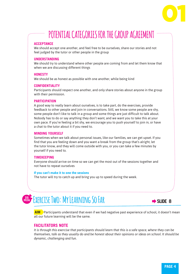## 01

## **POTENTIAL CATEGORIES FOR THE GROUP AGREEMENT**

#### **ACCEPTANCE**

We should accept one another, and feel free to be ourselves, share our stories and not feel judged by the tutor or other people in the group

#### **UNDERSTANDING**

We should try to understand where other people are coming from and let them know that when we are discussing different things

#### **HONESTY**

We should be as honest as possible with one another, while being kind

#### **CONFIDENTIALITY**

Participants should respect one another, and only share stories about anyone in the group with their permission.

#### **PARTICIPATION**

A good way to really learn about ourselves, is to take part, do the exercises, provide feedback to other people and join in conversations. Still, we know some people are shy, some people don't like to talk in a group and some things are just difficult to talk about. Nobody has to do or say anything they don't want, and we want you to take this at your own pace. If you're feeling a bit shy, we encourage you to push yourself to join in, or have a chat to the tutor about it if you need to.

#### **MINDING YOURSELF**

Sometimes when we talk about personal issues, like our families, we can get upset. If you find that you are feeling down and you want a break from the group that's alright, let the tutor know, and they will come outside with you, or you can take a few minutes by yourself if you need to.

#### **TIMEKEEPING**

Everyone should arrive on time so we can get the most out of the sessions together and not have to repeat ourselves

#### **If you can't make it to one the sessions**

The tutor will try to catch up and bring you up to speed during the week.



### **EXERCISE TWO: MY LEARNING SO FAR** EXERCISE TWO:  $\frac{1}{25}$



**AIM** Participants understand that even if we had negative past experience of school, it doesn't mean all our future learning will be the same.

#### **FACILITATORS NOTE**

*It is through this exercise that participants should learn that this is a safe space, where they can be themselves, talk as they usually do and be honest about their opinions or ideas on school. It should be dynamic, challenging and fun.*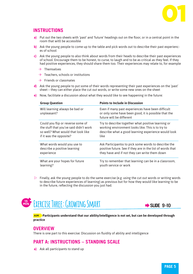

#### **INSTRUCTIONS**

- **a)** Put out the two sheets with 'past' and 'future' headings out on the floor, or in a central point in the room that witll be accessible
- **b)** Ask the young people to come up to the table and pick words out to describe their past experiences of school
- **c)** Ask the young people to also think about words from their heads to describe their past experiences of school. Encourage them to be honest, to curse, to laugh and to be as critical as they feel. If they had positive experiences, they should share them too. Their experiences may relate to, for example
	- $\rightarrow$  Themselves
	- $\rightarrow$  Teachers, schools or institutions
	- $\rightarrow$  Friends or classmates
- **d)** Ask the young people to put some of their words representing their past experiences on the 'past' sheet – they can either place the cut out words, or write some new ones on the sheet
- **e)** Now, facilitate a discussion about what they would like to see happening in the future:

| <b>Group Question</b>                         | <b>Points to Include in Discussion</b>                                                                                                |
|-----------------------------------------------|---------------------------------------------------------------------------------------------------------------------------------------|
| Will learning always be bad or<br>unpleasant? | Even if many past experiences have been difficult<br>or only some have been good, it is possible that the<br>future will be different |
| Could you flip or reverse some of             | Try to describe together what positive learning or                                                                                    |
| the stuff that you've said didn't work        | working environment looks like. This is to try to                                                                                     |
| so well? What would that look like            | describe what a good learning experience would look                                                                                   |
| if it was the opposite?                       | like                                                                                                                                  |
| What words would you use to                   | Ask Participantss to pick some words to describe the                                                                                  |
| describe a positive learning                  | positive future. See if they are in the list of words that                                                                            |
| experience                                    | they have and if not they can write them down                                                                                         |
| What are your hopes for future                | Try to remember that learning can be in a classroom,                                                                                  |
| learning?                                     | youth service or work                                                                                                                 |

 $\triangleright$  Finally, ask the young people to do the same exercise (e.g. using the cut out words or writing words to describe future experiences of learning) as previous but for how they would like learning to be in the future, reflecting the discussion you just had.



**AIM Participants understand that our ability/intelligence is not set, but can be developed through practice**

#### **OVERVIEW**

There is one part to this exercise: Discussion on fluidity of ability and intelligence

#### **PART A: INSTRUCTIONS – STANDING SCALE**

**a)** Ask all participants to stand up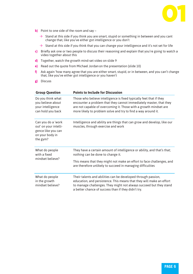

- **b)** Point to one side of the room and say
	- $\rightarrow$  Stand at this side if you think you are smart, stupid or something in between and you cant change that, like you've either got intelligence or you don't
	- $\rightarrow$  Stand at this side if you think that you can change your intelligence and it's not set for life
- **c)** Briefly ask one or two people to discuss their reasoning and explain that you're going to watch a video together about this
- **d)** Together, watch the growth mind-set video on slide 9
- **e)** Read out the quote from Michael Jordanon the presentation (slide 10)
- **f)** Ask again 'how many agree that you are either smart, stupid, or in between, and you can't change that, like you've either got intelligence or you haven't
- **g)** Discuss

| <b>Group Question</b>                                                                            | <b>Points to Include for Discussion</b>                                                                                                                                                                                                                                         |
|--------------------------------------------------------------------------------------------------|---------------------------------------------------------------------------------------------------------------------------------------------------------------------------------------------------------------------------------------------------------------------------------|
| Do you think what<br>you believe about<br>your intelligence<br>can hold you back                 | Those who believe intelligence is fixed typically feel that if they<br>encounter a problem that they cannot immediately master, that they<br>are not capable of overcoming it. Those with a growth mindset are<br>more likely to problem solve and try to find a way around it. |
| Can you do a 'work<br>out' on your intelli-<br>gence like you can<br>on your body in<br>the gym? | Intelligence and ability are things that can grow and develop, like our<br>muscles, through exercise and work                                                                                                                                                                   |
| What do people<br>with a fixed<br>mindset believe?                                               | They have a certain amount of intelligence or ability, and that's that;<br>nothing can be done to change it.<br>This means that they might not make an effort to face challenges, and<br>are therefore unlikely to succeed in managing difficulties                             |
| What do people<br>in the growth<br>mindset believe?                                              | Their talents and abilities can be developed through passion,<br>education, and persistence. This means that they will make an effort<br>to manage challenges. They might not always succeed but they stand<br>a better chance of success than if they didn't try.              |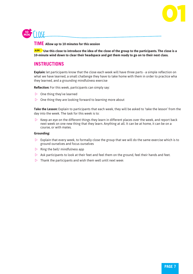

#### **TIME Allow up to 10 minutes for this session**

**AIM Use this close to introduce the idea of the close of the group to the participants. The close is a 10-minute wind down to clear their headspace and get them ready to go on to their next class.** 

#### **INSTRUCTIONS**

**Explain:** let participants know that the close each week will have three parts - a simple reflection on what we have learned, a small challenge they have to take home with them in order to practice wha they learned, and a grounding mindfulness exercise

**Reflection:** For this week, participants can simply say:

- $\triangleright$  One thing they've learned
- $\triangleright$  One thing they are looking forward to learning more about

**Take the Lesson:** Explain to participants that each week, they will be asked to 'take the lesson' from the day into the week. The task for this week is to:

 $\triangleright$  Keep an eye on the different things they learn in different places over the week, and report back next week on one new thing that they learn. Anything at all. It can be at home, it can be on a course, or with mates.

#### **Grounding:**

- $\triangleright$  Explain that every week, to formally close the group that we will do the same exercise which is to ground ourselves and focus ourselves
- $\triangleright$  Ring the bell/ mindfulness app
- $\triangleright$  Ask participants to look at their feet and feel them on the ground, feel their hands and feet.
- $\triangleright$  Thank the participants and wish them well until next week

01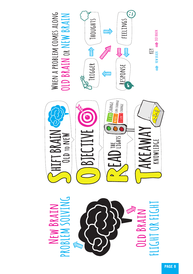